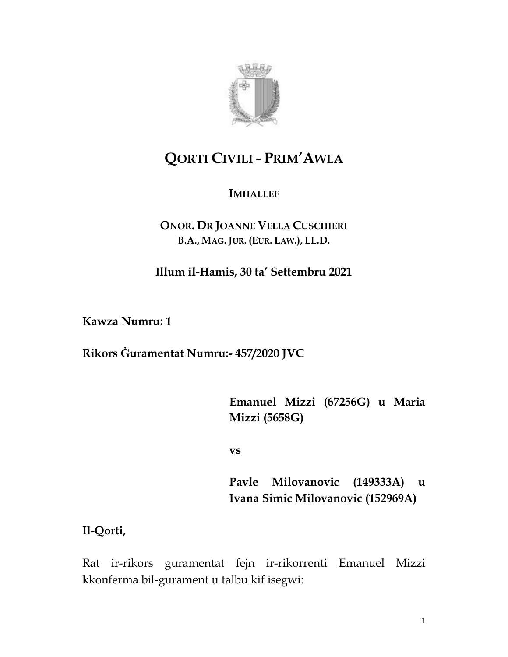

# **QORTI CIVILI - PRIM'AWLA**

### **IMHALLEF**

### **ONOR. DR JOANNE VELLA CUSCHIERI B.A., MAG. JUR. (EUR. LAW.), LL.D.**

**Illum il-Hamis, 30 ta' Settembru 2021**

**Kawza Numru: 1**

**Rikors Ġuramentat Numru:- 457/2020 JVC**

**Emanuel Mizzi (67256G) u Maria Mizzi (5658G)**

**vs** 

**Pavle Milovanovic (149333A) u Ivana Simic Milovanovic (152969A)**

**Il-Qorti,**

Rat ir-rikors guramentat fejn ir-rikorrenti Emanuel Mizzi kkonferma bil-gurament u talbu kif isegwi:

1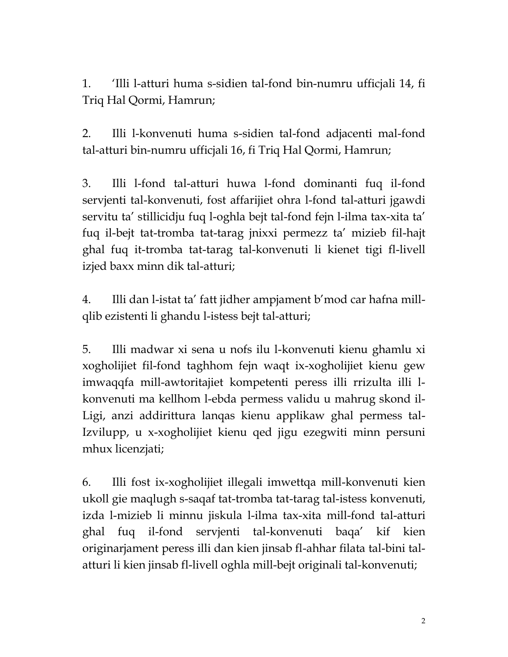1. 'Illi l-atturi huma s-sidien tal-fond bin-numru ufficjali 14, fi Triq Hal Qormi, Hamrun;

2. Illi l-konvenuti huma s-sidien tal-fond adjacenti mal-fond tal-atturi bin-numru ufficjali 16, fi Triq Hal Qormi, Hamrun;

3. Illi l-fond tal-atturi huwa l-fond dominanti fuq il-fond servjenti tal-konvenuti, fost affarijiet ohra l-fond tal-atturi jgawdi servitu ta' stillicidju fuq l-oghla bejt tal-fond fejn l-ilma tax-xita ta' fuq il-bejt tat-tromba tat-tarag jnixxi permezz ta' mizieb fil-hajt ghal fuq it-tromba tat-tarag tal-konvenuti li kienet tigi fl-livell izjed baxx minn dik tal-atturi;

4. Illi dan l-istat ta' fatt jidher ampjament b'mod car hafna millqlib ezistenti li ghandu l-istess bejt tal-atturi;

5. Illi madwar xi sena u nofs ilu l-konvenuti kienu ghamlu xi xogholijiet fil-fond taghhom fejn waqt ix-xogholijiet kienu gew imwaqqfa mill-awtoritajiet kompetenti peress illi rrizulta illi lkonvenuti ma kellhom l-ebda permess validu u mahrug skond il-Ligi, anzi addirittura lanqas kienu applikaw ghal permess tal-Izvilupp, u x-xogholijiet kienu qed jigu ezegwiti minn persuni mhux licenzjati;

6. Illi fost ix-xogholijiet illegali imwettqa mill-konvenuti kien ukoll gie maqlugh s-saqaf tat-tromba tat-tarag tal-istess konvenuti, izda l-mizieb li minnu jiskula l-ilma tax-xita mill-fond tal-atturi ghal fuq il-fond servjenti tal-konvenuti baqa' kif kien originarjament peress illi dan kien jinsab fl-ahhar filata tal-bini talatturi li kien jinsab fl-livell oghla mill-bejt originali tal-konvenuti;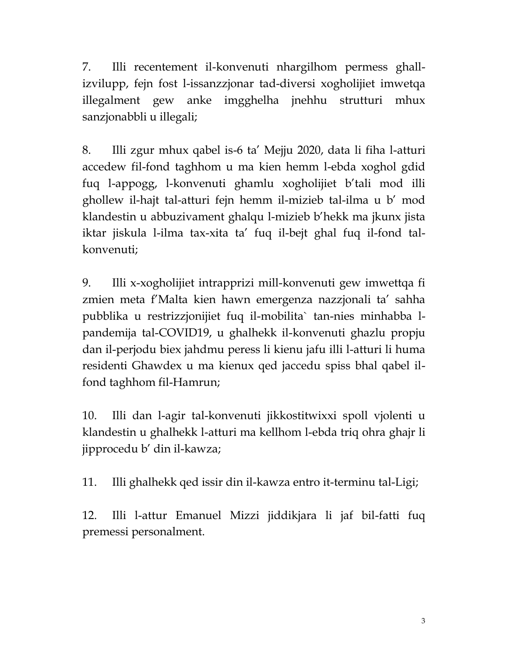7. Illi recentement il-konvenuti nhargilhom permess ghallizvilupp, fejn fost l-issanzzjonar tad-diversi xogholijiet imwetqa illegalment gew anke imgghelha jnehhu strutturi mhux sanzjonabbli u illegali;

8. Illi zgur mhux qabel is-6 ta' Mejju 2020, data li fiha l-atturi accedew fil-fond taghhom u ma kien hemm l-ebda xoghol gdid fuq l-appogg, l-konvenuti ghamlu xogholijiet b'tali mod illi ghollew il-hajt tal-atturi fejn hemm il-mizieb tal-ilma u b' mod klandestin u abbuzivament ghalqu l-mizieb b'hekk ma jkunx jista iktar jiskula l-ilma tax-xita ta' fuq il-bejt ghal fuq il-fond talkonvenuti;

9. Illi x-xogholijiet intrapprizi mill-konvenuti gew imwettqa fi zmien meta f'Malta kien hawn emergenza nazzjonali ta' sahha pubblika u restrizzjonijiet fuq il-mobilita` tan-nies minhabba lpandemija tal-COVID19, u ghalhekk il-konvenuti ghazlu propju dan il-perjodu biex jahdmu peress li kienu jafu illi l-atturi li huma residenti Ghawdex u ma kienux qed jaccedu spiss bhal qabel ilfond taghhom fil-Hamrun;

10. Illi dan l-agir tal-konvenuti jikkostitwixxi spoll vjolenti u klandestin u ghalhekk l-atturi ma kellhom l-ebda triq ohra ghajr li jipprocedu b' din il-kawza;

11. Illi ghalhekk qed issir din il-kawza entro it-terminu tal-Ligi;

12. Illi l-attur Emanuel Mizzi jiddikjara li jaf bil-fatti fuq premessi personalment.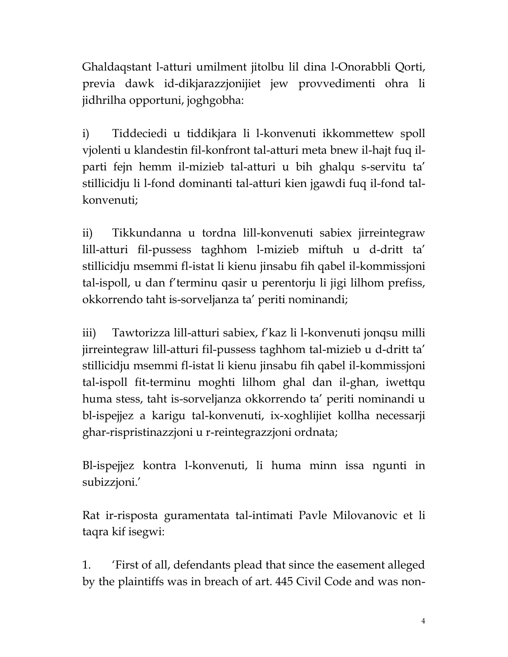Ghaldaqstant l-atturi umilment jitolbu lil dina l-Onorabbli Qorti, previa dawk id-dikjarazzjonijiet jew provvedimenti ohra li jidhrilha opportuni, joghgobha:

i) Tiddeciedi u tiddikjara li l-konvenuti ikkommettew spoll vjolenti u klandestin fil-konfront tal-atturi meta bnew il-hajt fuq ilparti fejn hemm il-mizieb tal-atturi u bih ghalqu s-servitu ta' stillicidju li l-fond dominanti tal-atturi kien jgawdi fuq il-fond talkonvenuti;

ii) Tikkundanna u tordna lill-konvenuti sabiex jirreintegraw lill-atturi fil-pussess taghhom l-mizieb miftuh u d-dritt ta' stillicidju msemmi fl-istat li kienu jinsabu fih qabel il-kommissjoni tal-ispoll, u dan f'terminu qasir u perentorju li jigi lilhom prefiss, okkorrendo taht is-sorveljanza ta' periti nominandi;

iii) Tawtorizza lill-atturi sabiex, f'kaz li l-konvenuti jonqsu milli jirreintegraw lill-atturi fil-pussess taghhom tal-mizieb u d-dritt ta' stillicidju msemmi fl-istat li kienu jinsabu fih qabel il-kommissjoni tal-ispoll fit-terminu moghti lilhom ghal dan il-ghan, iwettqu huma stess, taht is-sorveljanza okkorrendo ta' periti nominandi u bl-ispejjez a karigu tal-konvenuti, ix-xoghlijiet kollha necessarji ghar-rispristinazzjoni u r-reintegrazzjoni ordnata;

Bl-ispejjez kontra l-konvenuti, li huma minn issa ngunti in subizzjoni.'

Rat ir-risposta guramentata tal-intimati Pavle Milovanovic et li taqra kif isegwi:

1. 'First of all, defendants plead that since the easement alleged by the plaintiffs was in breach of art. 445 Civil Code and was non-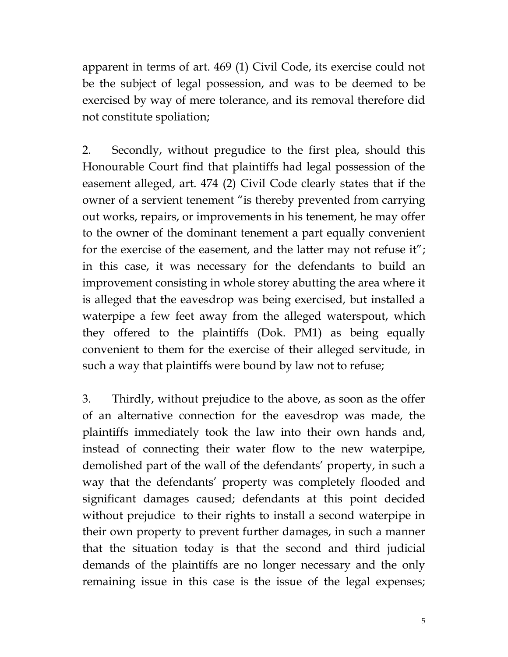apparent in terms of art. 469 (1) Civil Code, its exercise could not be the subject of legal possession, and was to be deemed to be exercised by way of mere tolerance, and its removal therefore did not constitute spoliation;

2. Secondly, without pregudice to the first plea, should this Honourable Court find that plaintiffs had legal possession of the easement alleged, art. 474 (2) Civil Code clearly states that if the owner of a servient tenement "is thereby prevented from carrying out works, repairs, or improvements in his tenement, he may offer to the owner of the dominant tenement a part equally convenient for the exercise of the easement, and the latter may not refuse it"; in this case, it was necessary for the defendants to build an improvement consisting in whole storey abutting the area where it is alleged that the eavesdrop was being exercised, but installed a waterpipe a few feet away from the alleged waterspout, which they offered to the plaintiffs (Dok. PM1) as being equally convenient to them for the exercise of their alleged servitude, in such a way that plaintiffs were bound by law not to refuse;

3. Thirdly, without prejudice to the above, as soon as the offer of an alternative connection for the eavesdrop was made, the plaintiffs immediately took the law into their own hands and, instead of connecting their water flow to the new waterpipe, demolished part of the wall of the defendants' property, in such a way that the defendants' property was completely flooded and significant damages caused; defendants at this point decided without prejudice to their rights to install a second waterpipe in their own property to prevent further damages, in such a manner that the situation today is that the second and third judicial demands of the plaintiffs are no longer necessary and the only remaining issue in this case is the issue of the legal expenses;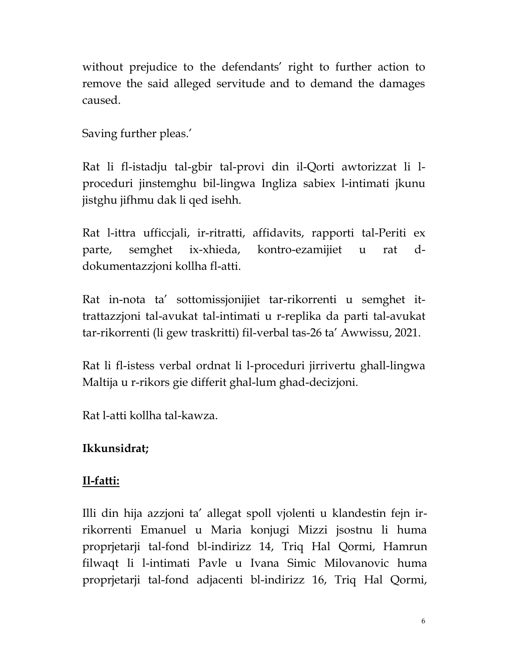without prejudice to the defendants' right to further action to remove the said alleged servitude and to demand the damages caused.

Saving further pleas.'

Rat li fl-istadju tal-gbir tal-provi din il-Qorti awtorizzat li lproceduri jinstemghu bil-lingwa Ingliza sabiex l-intimati jkunu jistghu jifhmu dak li qed isehh.

Rat l-ittra ufficcjali, ir-ritratti, affidavits, rapporti tal-Periti ex parte, semghet ix-xhieda, kontro-ezamijiet u rat ddokumentazzjoni kollha fl-atti.

Rat in-nota ta' sottomissjonijiet tar-rikorrenti u semghet ittrattazzjoni tal-avukat tal-intimati u r-replika da parti tal-avukat tar-rikorrenti (li gew traskritti) fil-verbal tas-26 ta' Awwissu, 2021.

Rat li fl-istess verbal ordnat li l-proceduri jirrivertu ghall-lingwa Maltija u r-rikors gie differit ghal-lum ghad-decizjoni.

Rat l-atti kollha tal-kawza.

## **Ikkunsidrat;**

## **Il-fatti:**

Illi din hija azzjoni ta' allegat spoll vjolenti u klandestin fejn irrikorrenti Emanuel u Maria konjugi Mizzi jsostnu li huma proprjetarji tal-fond bl-indirizz 14, Triq Hal Qormi, Hamrun filwaqt li l-intimati Pavle u Ivana Simic Milovanovic huma proprjetarji tal-fond adjacenti bl-indirizz 16, Triq Hal Qormi,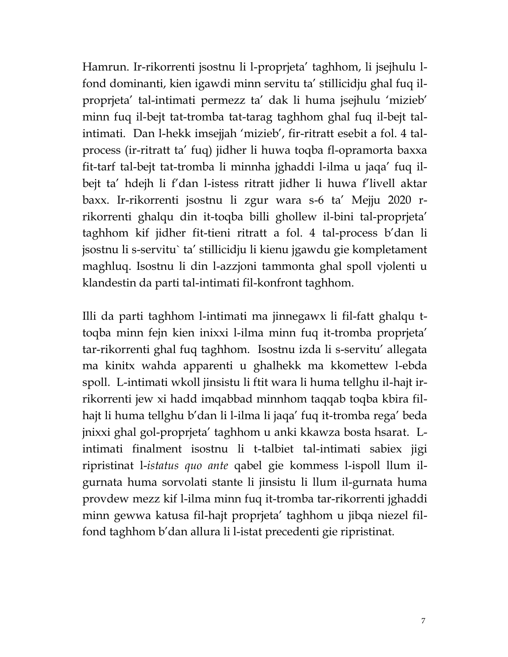Hamrun. Ir-rikorrenti jsostnu li l-proprjeta' taghhom, li jsejhulu lfond dominanti, kien igawdi minn servitu ta' stillicidju ghal fuq ilproprjeta' tal-intimati permezz ta' dak li huma jsejhulu 'mizieb' minn fuq il-bejt tat-tromba tat-tarag taghhom ghal fuq il-bejt talintimati. Dan l-hekk imsejjah 'mizieb', fir-ritratt esebit a fol. 4 talprocess (ir-ritratt ta' fuq) jidher li huwa toqba fl-opramorta baxxa fit-tarf tal-bejt tat-tromba li minnha jghaddi l-ilma u jaqa' fuq ilbejt ta' hdejh li f'dan l-istess ritratt jidher li huwa f'livell aktar baxx. Ir-rikorrenti jsostnu li zgur wara s-6 ta' Mejju 2020 rrikorrenti ghalqu din it-toqba billi ghollew il-bini tal-proprjeta' taghhom kif jidher fit-tieni ritratt a fol. 4 tal-process b'dan li jsostnu li s-servitu` ta' stillicidju li kienu jgawdu gie kompletament maghluq. Isostnu li din l-azzjoni tammonta ghal spoll vjolenti u klandestin da parti tal-intimati fil-konfront taghhom.

Illi da parti taghhom l-intimati ma jinnegawx li fil-fatt ghalqu ttoqba minn fejn kien inixxi l-ilma minn fuq it-tromba proprjeta' tar-rikorrenti ghal fuq taghhom. Isostnu izda li s-servitu' allegata ma kinitx wahda apparenti u ghalhekk ma kkomettew l-ebda spoll. L-intimati wkoll jinsistu li ftit wara li huma tellghu il-hajt irrikorrenti jew xi hadd imqabbad minnhom taqqab toqba kbira filhajt li huma tellghu b'dan li l-ilma li jaqa' fuq it-tromba rega' beda jnixxi ghal gol-proprjeta' taghhom u anki kkawza bosta hsarat. Lintimati finalment isostnu li t-talbiet tal-intimati sabiex jigi ripristinat l-*istatus quo ante* qabel gie kommess l-ispoll llum ilgurnata huma sorvolati stante li jinsistu li llum il-gurnata huma provdew mezz kif l-ilma minn fuq it-tromba tar-rikorrenti jghaddi minn gewwa katusa fil-hajt proprjeta' taghhom u jibqa niezel filfond taghhom b'dan allura li l-istat precedenti gie ripristinat.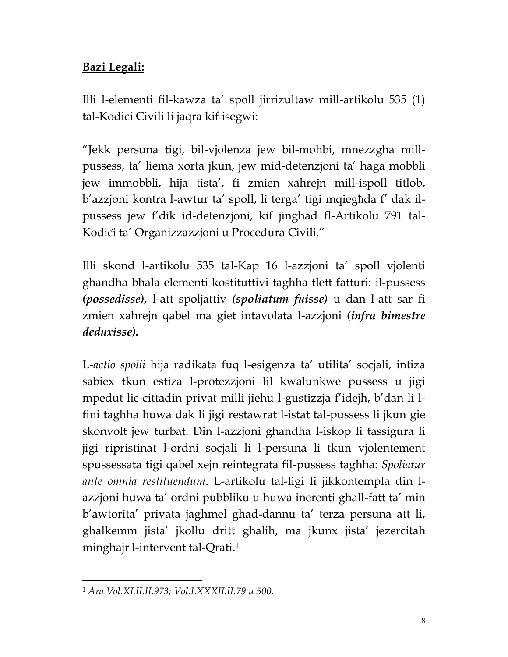## **Bazi Legali:**

Illi l-elementi fil-kawza ta' spoll jirrizultaw mill-artikolu 535 (1) tal-Kodici Civili li jaqra kif isegwi:

"Jekk persuna tigi, bil-vjolenza jew bil-mohbi, mnezzgha millpussess, ta' liema xorta jkun, jew mid-detenzjoni ta' haga mobbli jew immobbli, hija tista', fi zmien xahrejn mill-ispoll titlob, b'azzjoni kontra l-awtur ta' spoll, li terga' tigi mqiegħda f' dak ilpussess jew f'dik id-detenzjoni, kif jinghad fl-Artikolu 791 tal-Kodiċi ta' Organizzazzjoni u Procedura Ċivili."

Illi skond l-artikolu 535 tal-Kap 16 l-azzjoni ta' spoll vjolenti ghandha bhala elementi kostituttivi taghha tlett fatturi: il-pussess *(possedisse),* l-att spoljattiv *(spoliatum fuisse)* u dan l-att sar fi zmien xahrejn qabel ma giet intavolata l-azzjoni *(infra bimestre deduxisse).*

L-*actio spolii* hija radikata fuq l-esigenza ta' utilita' socjali, intiza sabiex tkun estiza l-protezzjoni lil kwalunkwe pussess u jigi mpedut lic-cittadin privat milli jiehu l-gustizzja f'idejh, b'dan li lfini taghha huwa dak li jigi restawrat l-istat tal-pussess li jkun gie skonvolt jew turbat. Din l-azzjoni ghandha l-iskop li tassigura li jigi ripristinat l-ordni socjali li l-persuna li tkun vjolentement spussessata tigi qabel xejn reintegrata fil-pussess taghha: *Spoliatur ante omnia restituendum*. L-artikolu tal-ligi li jikkontempla din lazzjoni huwa ta' ordni pubbliku u huwa inerenti ghall-fatt ta' min b'awtorita' privata jaghmel ghad-dannu ta' terza persuna att li, ghalkemm jista' jkollu dritt ghalih, ma jkunx jista' jezercitah minghajr l-intervent tal-Qrati.<sup>1</sup>

<sup>1</sup> *Ara Vol.XLII.II.973; Vol.LXXXII.II.79 u 500.*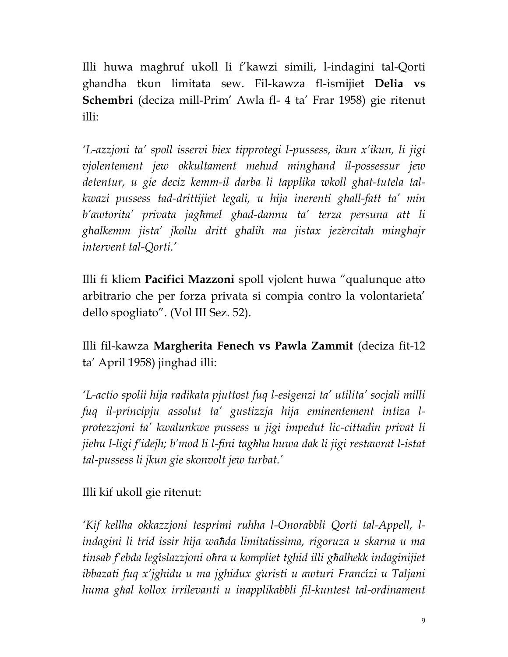Illi huwa magħruf ukoll li f'kawzi simili, l-indagini tal-Qorti ghandha tkun limitata sew. Fil-kawza fl-ismijiet **Delia vs Schembri** (deciza mill-Prim' Awla fl- 4 ta' Frar 1958) gie ritenut illi:

*'L-azzjoni ta' spoll isservi biex tipprotegi l-pussess, ikun x'ikun, li jigi vjolentement jew okkultament mehud minghand il-possessur jew detentur, u gie deciz kemm-il darba li tapplika wkoll ghat-tutela talkwazi pussess tad-drittijiet legali, u hija inerenti ghall-fatt ta' min b'awtorita' privata jagħmel ghad-dannu ta' terza persuna att li ghalkemm jista' jkollu dritt ghalih ma jistax jeżercitah minghajr intervent tal-Qorti.'*

Illi fi kliem **Pacifici Mazzoni** spoll vjolent huwa "qualunque atto arbitrario che per forza privata si compia contro la volontarieta' dello spogliato". (Vol III Sez. 52).

Illi fil-kawza **Margherita Fenech vs Pawla Zammit** (deciza fit-12 ta' April 1958) jinghad illi:

*'L-actio spolii hija radikata pjuttost fuq l-esigenzi ta' utilita' socjali milli fuq il-principju assolut ta' gustizzja hija eminentement intiza lprotezzjoni ta' kwalunkwe pussess u jigi impedut lic-cittadin privat li jiehu l-ligi f'idejh; b'mod li l-fini tagħha huwa dak li jigi restawrat l-istat tal-pussess li jkun gie skonvolt jew turbat.'*

Illi kif ukoll gie ritenut:

*'Kif kellha okkazzjoni tesprimi ruhha l-Onorabbli Qorti tal-Appell, lindagini li trid issir hija waħda limitatissima, rigoruza u skarna u ma tinsab f'ebda leġislazzjoni oħra u kompliet tghid illi għalhekk indaginijiet ibbazati fuq x'jghidu u ma jghidux ġuristi u awturi Franċizi u Taljani huma għal kollox irrilevanti u inapplikabbli fil-kuntest tal-ordinament*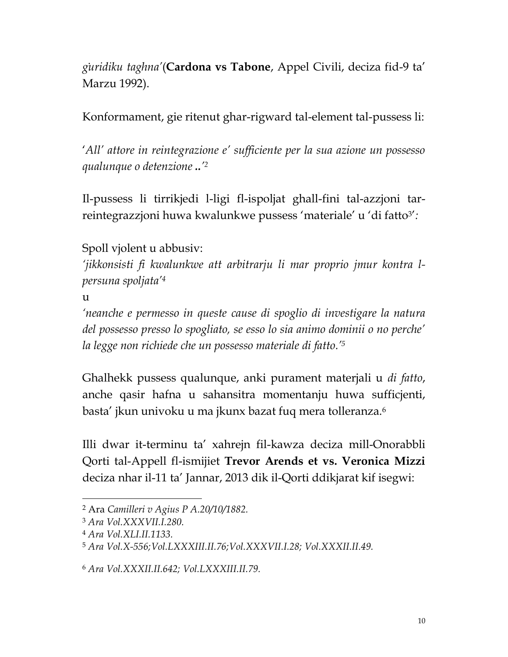*ġuridiku taghna'*(**Cardona vs Tabone**, Appel Civili, deciza fid-9 ta' Marzu 1992).

Konformament, gie ritenut ghar-rigward tal-element tal-pussess li:

'*All' attore in reintegrazione e' sufficiente per la sua azione un possesso qualunque o detenzione ..' 2*

Il-pussess li tirrikjedi l-ligi fl-ispoljat ghall-fini tal-azzjoni tarreintegrazzjoni huwa kwalunkwe pussess 'materiale' u 'di fatto<sup>3</sup> '*:*

Spoll vjolent u abbusiv:

*'jikkonsisti fi kwalunkwe att arbitrarju li mar proprio jmur kontra lpersuna spoljata'<sup>4</sup>*

 $11$ 

*'neanche e permesso in queste cause di spoglio di investigare la natura del possesso presso lo spogliato, se esso lo sia animo dominii o no perche' la legge non richiede che un possesso materiale di fatto.'<sup>5</sup>*

Ghalhekk pussess qualunque, anki purament materjali u *di fatto*, anche qasir hafna u sahansitra momentanju huwa sufficjenti, basta' jkun univoku u ma jkunx bazat fuq mera tolleranza.<sup>6</sup>

Illi dwar it-terminu ta' xahrejn fil-kawza deciza mill-Onorabbli Qorti tal-Appell fl-ismijiet **Trevor Arends et vs. Veronica Mizzi** deciza nhar il-11 ta' Jannar, 2013 dik il-Qorti ddikjarat kif isegwi:

<sup>2</sup> Ara *Camilleri v Agius P A.20/10/1882.*

<sup>3</sup> *Ara Vol.XXXVII.I.280.*

<sup>4</sup> *Ara Vol.XLI.II.1133.*

<sup>5</sup> *Ara Vol.X-556;Vol.LXXXIII.II.76;Vol.XXXVII.I.28; Vol.XXXII.II.49.*

<sup>6</sup> *Ara Vol.XXXII.II.642; Vol.LXXXIII.II.79.*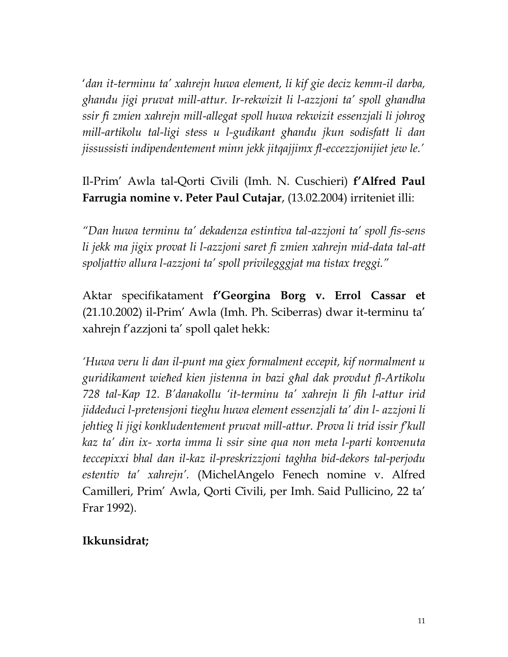'*dan it-terminu ta' xahrejn huwa element, li kif gie deciz kemm-il darba, ghandu jigi pruvat mill-attur. Ir-rekwizit li l-azzjoni ta' spoll ghandha ssir fi zmien xahrejn mill-allegat spoll huwa rekwizit essenzjali li johrog mill-artikolu tal-ligi stess u l-gudikant ghandu jkun sodisfatt li dan jissussisti indipendentement minn jekk jitqajjimx fl-eccezzjonijiet jew le.'*

## Il-Prim' Awla tal-Qorti Ċivili (Imh. N. Cuschieri) **f'Alfred Paul Farrugia nomine v. Peter Paul Cutajar**, (13.02.2004) irriteniet illi:

*"Dan huwa terminu ta' dekadenza estintiva tal-azzjoni ta' spoll fis-sens li jekk ma jigix provat li l-azzjoni saret fi zmien xahrejn mid-data tal-att spoljattiv allura l-azzjoni ta' spoll privilegggjat ma tistax treggi."* 

Aktar specifikatament **f'Georgina Borg v. Errol Cassar et** (21.10.2002) il-Prim' Awla (Imh. Ph. Sciberras) dwar it-terminu ta' xahrejn f'azzjoni ta' spoll qalet hekk:

*'Huwa veru li dan il-punt ma giex formalment eccepit, kif normalment u guridikament wieħed kien jistenna in bazi għal dak provdut fl-Artikolu 728 tal-Kap 12. B'danakollu 'it-terminu ta' xahrejn li fih l-attur irid jiddeduci l-pretensjoni tieghu huwa element essenzjali ta' din l- azzjoni li jehtieg li jigi konkludentement pruvat mill-attur. Prova li trid issir f'kull kaz ta' din ix- xorta imma li ssir sine qua non meta l-parti konvenuta teccepixxi bhal dan il-kaz il-preskrizzjoni taghha bid-dekors tal-perjodu estentiv ta' xahrejn'.* (MichelAngelo Fenech nomine v. Alfred Camilleri, Prim' Awla, Qorti Ċivili, per Imh. Said Pullicino, 22 ta' Frar 1992).

#### **Ikkunsidrat;**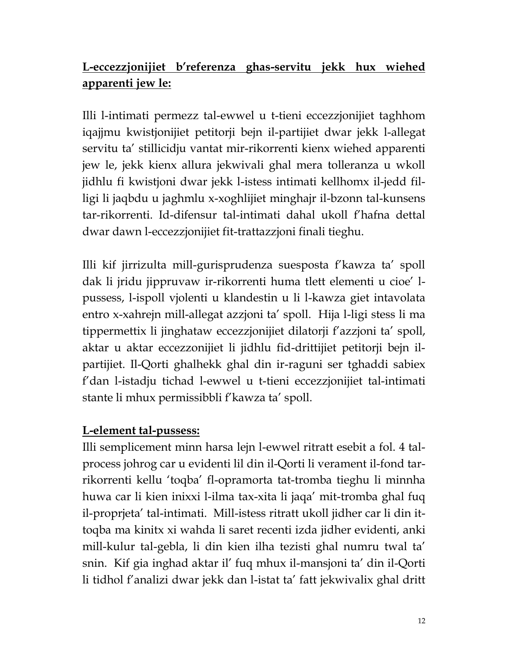## **L-eccezzjonijiet b'referenza ghas-servitu jekk hux wiehed apparenti jew le:**

Illi l-intimati permezz tal-ewwel u t-tieni eccezzjonijiet taghhom iqajjmu kwistjonijiet petitorji bejn il-partijiet dwar jekk l-allegat servitu ta' stillicidju vantat mir-rikorrenti kienx wiehed apparenti jew le, jekk kienx allura jekwivali ghal mera tolleranza u wkoll jidhlu fi kwistjoni dwar jekk l-istess intimati kellhomx il-jedd filligi li jaqbdu u jaghmlu x-xoghlijiet minghajr il-bzonn tal-kunsens tar-rikorrenti. Id-difensur tal-intimati dahal ukoll f'hafna dettal dwar dawn l-eccezzjonijiet fit-trattazzjoni finali tieghu.

Illi kif jirrizulta mill-gurisprudenza suesposta f'kawza ta' spoll dak li jridu jippruvaw ir-rikorrenti huma tlett elementi u cioe' lpussess, l-ispoll vjolenti u klandestin u li l-kawza giet intavolata entro x-xahrejn mill-allegat azzjoni ta' spoll. Hija l-ligi stess li ma tippermettix li jinghataw eccezzjonijiet dilatorji f'azzjoni ta' spoll, aktar u aktar eccezzonijiet li jidhlu fid-drittijiet petitorji bejn ilpartijiet. Il-Qorti ghalhekk ghal din ir-raguni ser tghaddi sabiex f'dan l-istadju tichad l-ewwel u t-tieni eccezzjonijiet tal-intimati stante li mhux permissibbli f'kawza ta' spoll.

### **L-element tal-pussess:**

Illi semplicement minn harsa lejn l-ewwel ritratt esebit a fol. 4 talprocess johrog car u evidenti lil din il-Qorti li verament il-fond tarrikorrenti kellu 'toqba' fl-opramorta tat-tromba tieghu li minnha huwa car li kien inixxi l-ilma tax-xita li jaqa' mit-tromba ghal fuq il-proprjeta' tal-intimati. Mill-istess ritratt ukoll jidher car li din ittoqba ma kinitx xi wahda li saret recenti izda jidher evidenti, anki mill-kulur tal-gebla, li din kien ilha tezisti ghal numru twal ta' snin. Kif gia inghad aktar il' fuq mhux il-mansjoni ta' din il-Qorti li tidhol f'analizi dwar jekk dan l-istat ta' fatt jekwivalix ghal dritt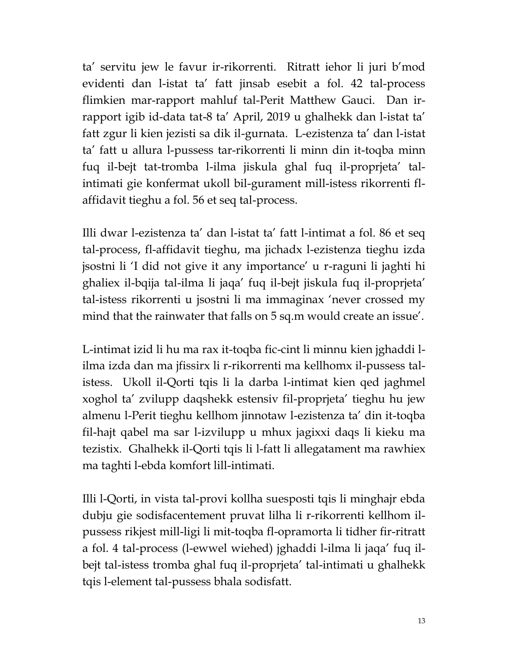ta' servitu jew le favur ir-rikorrenti. Ritratt iehor li juri b'mod evidenti dan l-istat ta' fatt jinsab esebit a fol. 42 tal-process flimkien mar-rapport mahluf tal-Perit Matthew Gauci. Dan irrapport igib id-data tat-8 ta' April, 2019 u ghalhekk dan l-istat ta' fatt zgur li kien jezisti sa dik il-gurnata. L-ezistenza ta' dan l-istat ta' fatt u allura l-pussess tar-rikorrenti li minn din it-toqba minn fuq il-bejt tat-tromba l-ilma jiskula ghal fuq il-proprjeta' talintimati gie konfermat ukoll bil-gurament mill-istess rikorrenti flaffidavit tieghu a fol. 56 et seq tal-process.

Illi dwar l-ezistenza ta' dan l-istat ta' fatt l-intimat a fol. 86 et seq tal-process, fl-affidavit tieghu, ma jichadx l-ezistenza tieghu izda jsostni li 'I did not give it any importance' u r-raguni li jaghti hi ghaliex il-bqija tal-ilma li jaqa' fuq il-bejt jiskula fuq il-proprjeta' tal-istess rikorrenti u jsostni li ma immaginax 'never crossed my mind that the rainwater that falls on 5 sq.m would create an issue'.

L-intimat izid li hu ma rax it-toqba fic-cint li minnu kien jghaddi lilma izda dan ma jfissirx li r-rikorrenti ma kellhomx il-pussess talistess. Ukoll il-Qorti tqis li la darba l-intimat kien qed jaghmel xoghol ta' zvilupp daqshekk estensiv fil-proprjeta' tieghu hu jew almenu l-Perit tieghu kellhom jinnotaw l-ezistenza ta' din it-toqba fil-hajt qabel ma sar l-izvilupp u mhux jagixxi daqs li kieku ma tezistix. Ghalhekk il-Qorti tqis li l-fatt li allegatament ma rawhiex ma taghti l-ebda komfort lill-intimati.

Illi l-Qorti, in vista tal-provi kollha suesposti tqis li minghajr ebda dubju gie sodisfacentement pruvat lilha li r-rikorrenti kellhom ilpussess rikjest mill-ligi li mit-toqba fl-opramorta li tidher fir-ritratt a fol. 4 tal-process (l-ewwel wiehed) jghaddi l-ilma li jaqa' fuq ilbejt tal-istess tromba ghal fuq il-proprjeta' tal-intimati u ghalhekk tqis l-element tal-pussess bhala sodisfatt.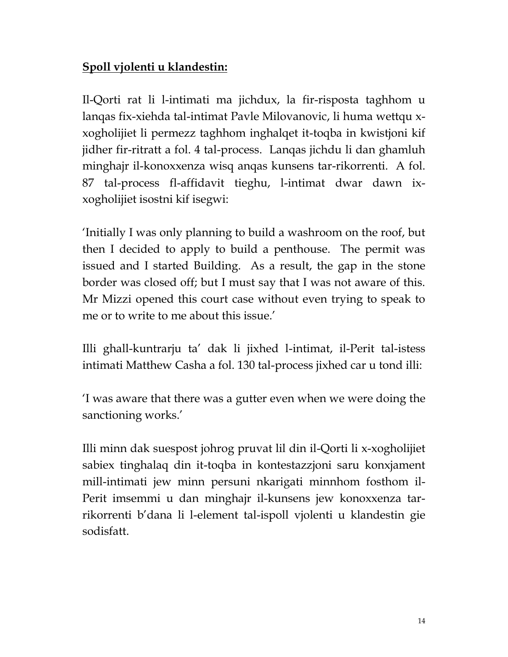## **Spoll vjolenti u klandestin:**

Il-Qorti rat li l-intimati ma jichdux, la fir-risposta taghhom u lanqas fix-xiehda tal-intimat Pavle Milovanovic, li huma wettqu xxogholijiet li permezz taghhom inghalqet it-toqba in kwistjoni kif jidher fir-ritratt a fol. 4 tal-process. Lanqas jichdu li dan ghamluh minghajr il-konoxxenza wisq anqas kunsens tar-rikorrenti. A fol. 87 tal-process fl-affidavit tieghu, l-intimat dwar dawn ixxogholijiet isostni kif isegwi:

'Initially I was only planning to build a washroom on the roof, but then I decided to apply to build a penthouse. The permit was issued and I started Building. As a result, the gap in the stone border was closed off; but I must say that I was not aware of this. Mr Mizzi opened this court case without even trying to speak to me or to write to me about this issue.'

Illi ghall-kuntrarju ta' dak li jixhed l-intimat, il-Perit tal-istess intimati Matthew Casha a fol. 130 tal-process jixhed car u tond illi:

'I was aware that there was a gutter even when we were doing the sanctioning works.'

Illi minn dak suespost johrog pruvat lil din il-Qorti li x-xogholijiet sabiex tinghalaq din it-toqba in kontestazzjoni saru konxjament mill-intimati jew minn persuni nkarigati minnhom fosthom il-Perit imsemmi u dan minghajr il-kunsens jew konoxxenza tarrikorrenti b'dana li l-element tal-ispoll vjolenti u klandestin gie sodisfatt.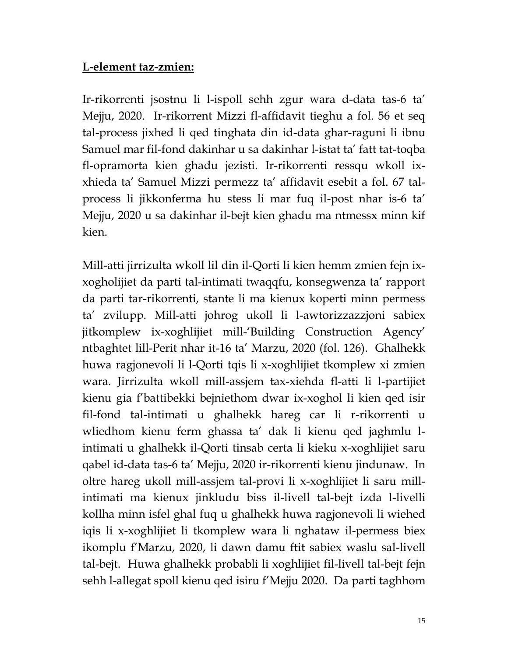### **L-element taz-zmien:**

Ir-rikorrenti jsostnu li l-ispoll sehh zgur wara d-data tas-6 ta' Mejju, 2020. Ir-rikorrent Mizzi fl-affidavit tieghu a fol. 56 et seq tal-process jixhed li qed tinghata din id-data ghar-raguni li ibnu Samuel mar fil-fond dakinhar u sa dakinhar l-istat ta' fatt tat-toqba fl-opramorta kien ghadu jezisti. Ir-rikorrenti ressqu wkoll ixxhieda ta' Samuel Mizzi permezz ta' affidavit esebit a fol. 67 talprocess li jikkonferma hu stess li mar fuq il-post nhar is-6 ta' Mejju, 2020 u sa dakinhar il-bejt kien ghadu ma ntmessx minn kif kien.

Mill-atti jirrizulta wkoll lil din il-Qorti li kien hemm zmien fejn ixxogholijiet da parti tal-intimati twaqqfu, konsegwenza ta' rapport da parti tar-rikorrenti, stante li ma kienux koperti minn permess ta' zvilupp. Mill-atti johrog ukoll li l-awtorizzazzjoni sabiex jitkomplew ix-xoghlijiet mill-'Building Construction Agency' ntbaghtet lill-Perit nhar it-16 ta' Marzu, 2020 (fol. 126). Ghalhekk huwa ragjonevoli li l-Qorti tqis li x-xoghlijiet tkomplew xi zmien wara. Jirrizulta wkoll mill-assjem tax-xiehda fl-atti li l-partijiet kienu gia f'battibekki bejniethom dwar ix-xoghol li kien qed isir fil-fond tal-intimati u ghalhekk hareg car li r-rikorrenti u wliedhom kienu ferm ghassa ta' dak li kienu qed jaghmlu lintimati u ghalhekk il-Qorti tinsab certa li kieku x-xoghlijiet saru qabel id-data tas-6 ta' Mejju, 2020 ir-rikorrenti kienu jindunaw. In oltre hareg ukoll mill-assjem tal-provi li x-xoghlijiet li saru millintimati ma kienux jinkludu biss il-livell tal-bejt izda l-livelli kollha minn isfel ghal fuq u ghalhekk huwa ragjonevoli li wiehed iqis li x-xoghlijiet li tkomplew wara li nghataw il-permess biex ikomplu f'Marzu, 2020, li dawn damu ftit sabiex waslu sal-livell tal-bejt. Huwa ghalhekk probabli li xoghlijiet fil-livell tal-bejt fejn sehh l-allegat spoll kienu qed isiru f'Mejju 2020. Da parti taghhom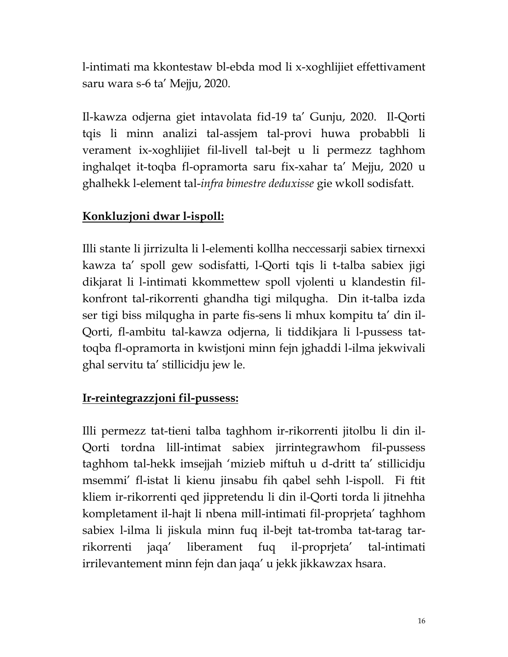l-intimati ma kkontestaw bl-ebda mod li x-xoghlijiet effettivament saru wara s-6 ta' Mejju, 2020.

Il-kawza odjerna giet intavolata fid-19 ta' Gunju, 2020. Il-Qorti tqis li minn analizi tal-assjem tal-provi huwa probabbli li verament ix-xoghlijiet fil-livell tal-bejt u li permezz taghhom inghalqet it-toqba fl-opramorta saru fix-xahar ta' Mejju, 2020 u ghalhekk l-element tal-*infra bimestre deduxisse* gie wkoll sodisfatt.

## **Konkluzjoni dwar l-ispoll:**

Illi stante li jirrizulta li l-elementi kollha neccessarji sabiex tirnexxi kawza ta' spoll gew sodisfatti, l-Qorti tqis li t-talba sabiex jigi dikjarat li l-intimati kkommettew spoll vjolenti u klandestin filkonfront tal-rikorrenti ghandha tigi milqugha. Din it-talba izda ser tigi biss milqugha in parte fis-sens li mhux kompitu ta' din il-Qorti, fl-ambitu tal-kawza odjerna, li tiddikjara li l-pussess tattoqba fl-opramorta in kwistjoni minn fejn jghaddi l-ilma jekwivali ghal servitu ta' stillicidju jew le.

## **Ir-reintegrazzjoni fil-pussess:**

Illi permezz tat-tieni talba taghhom ir-rikorrenti jitolbu li din il-Qorti tordna lill-intimat sabiex jirrintegrawhom fil-pussess taghhom tal-hekk imsejjah 'mizieb miftuh u d-dritt ta' stillicidju msemmi' fl-istat li kienu jinsabu fih qabel sehh l-ispoll. Fi ftit kliem ir-rikorrenti qed jippretendu li din il-Qorti torda li jitnehha kompletament il-hajt li nbena mill-intimati fil-proprjeta' taghhom sabiex l-ilma li jiskula minn fuq il-bejt tat-tromba tat-tarag tarrikorrenti jaqa' liberament fuq il-proprjeta' tal-intimati irrilevantement minn fejn dan jaqa' u jekk jikkawzax hsara.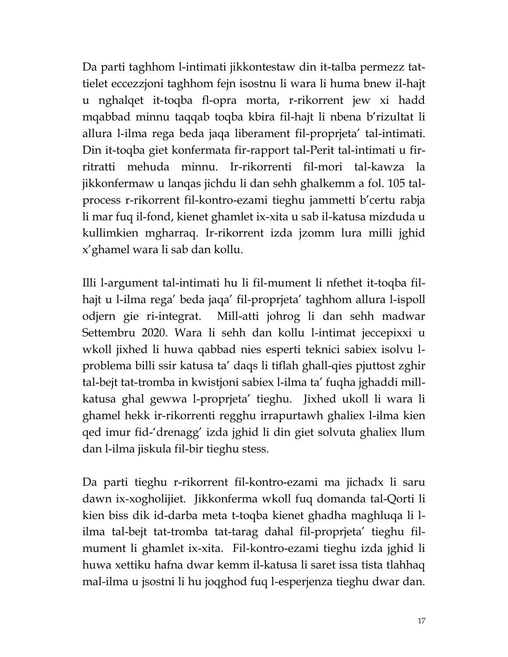Da parti taghhom l-intimati jikkontestaw din it-talba permezz tattielet eccezzjoni taghhom fejn isostnu li wara li huma bnew il-hajt u nghalqet it-toqba fl-opra morta, r-rikorrent jew xi hadd mqabbad minnu taqqab toqba kbira fil-hajt li nbena b'rizultat li allura l-ilma rega beda jaqa liberament fil-proprjeta' tal-intimati. Din it-toqba giet konfermata fir-rapport tal-Perit tal-intimati u firritratti mehuda minnu. Ir-rikorrenti fil-mori tal-kawza la jikkonfermaw u lanqas jichdu li dan sehh ghalkemm a fol. 105 talprocess r-rikorrent fil-kontro-ezami tieghu jammetti b'certu rabja li mar fuq il-fond, kienet ghamlet ix-xita u sab il-katusa mizduda u kullimkien mgharraq. Ir-rikorrent izda jzomm lura milli jghid x'ghamel wara li sab dan kollu.

Illi l-argument tal-intimati hu li fil-mument li nfethet it-toqba filhajt u l-ilma rega' beda jaqa' fil-proprjeta' taghhom allura l-ispoll odjern gie ri-integrat. Mill-atti johrog li dan sehh madwar Settembru 2020. Wara li sehh dan kollu l-intimat jeccepixxi u wkoll jixhed li huwa qabbad nies esperti teknici sabiex isolvu lproblema billi ssir katusa ta' daqs li tiflah ghall-qies pjuttost zghir tal-bejt tat-tromba in kwistjoni sabiex l-ilma ta' fuqha jghaddi millkatusa ghal gewwa l-proprjeta' tieghu. Jixhed ukoll li wara li ghamel hekk ir-rikorrenti regghu irrapurtawh ghaliex l-ilma kien qed imur fid-'drenagg' izda jghid li din giet solvuta ghaliex llum dan l-ilma jiskula fil-bir tieghu stess.

Da parti tieghu r-rikorrent fil-kontro-ezami ma jichadx li saru dawn ix-xogholijiet. Jikkonferma wkoll fuq domanda tal-Qorti li kien biss dik id-darba meta t-toqba kienet ghadha maghluqa li lilma tal-bejt tat-tromba tat-tarag dahal fil-proprjeta' tieghu filmument li ghamlet ix-xita. Fil-kontro-ezami tieghu izda jghid li huwa xettiku hafna dwar kemm il-katusa li saret issa tista tlahhaq mal-ilma u jsostni li hu joqghod fuq l-esperjenza tieghu dwar dan.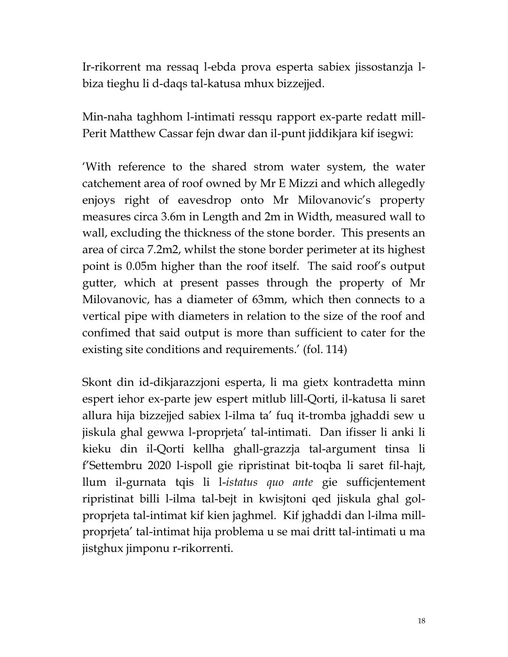Ir-rikorrent ma ressaq l-ebda prova esperta sabiex jissostanzja lbiza tieghu li d-daqs tal-katusa mhux bizzejjed.

Min-naha taghhom l-intimati ressqu rapport ex-parte redatt mill-Perit Matthew Cassar fejn dwar dan il-punt jiddikjara kif isegwi:

'With reference to the shared strom water system, the water catchement area of roof owned by Mr E Mizzi and which allegedly enjoys right of eavesdrop onto Mr Milovanovic's property measures circa 3.6m in Length and 2m in Width, measured wall to wall, excluding the thickness of the stone border. This presents an area of circa 7.2m2, whilst the stone border perimeter at its highest point is 0.05m higher than the roof itself. The said roof's output gutter, which at present passes through the property of Mr Milovanovic, has a diameter of 63mm, which then connects to a vertical pipe with diameters in relation to the size of the roof and confimed that said output is more than sufficient to cater for the existing site conditions and requirements.' (fol. 114)

Skont din id-dikjarazzjoni esperta, li ma gietx kontradetta minn espert iehor ex-parte jew espert mitlub lill-Qorti, il-katusa li saret allura hija bizzejjed sabiex l-ilma ta' fuq it-tromba jghaddi sew u jiskula ghal gewwa l-proprjeta' tal-intimati. Dan ifisser li anki li kieku din il-Qorti kellha ghall-grazzja tal-argument tinsa li f'Settembru 2020 l-ispoll gie ripristinat bit-toqba li saret fil-hajt, llum il-gurnata tqis li l-*istatus quo ante* gie sufficjentement ripristinat billi l-ilma tal-bejt in kwisjtoni qed jiskula ghal golproprjeta tal-intimat kif kien jaghmel. Kif jghaddi dan l-ilma millproprjeta' tal-intimat hija problema u se mai dritt tal-intimati u ma jistghux jimponu r-rikorrenti.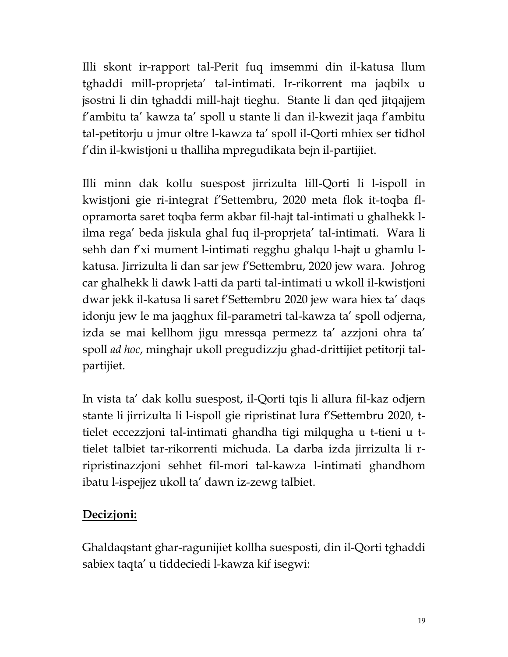Illi skont ir-rapport tal-Perit fuq imsemmi din il-katusa llum tghaddi mill-proprjeta' tal-intimati. Ir-rikorrent ma jaqbilx u jsostni li din tghaddi mill-hajt tieghu. Stante li dan qed jitqajjem f'ambitu ta' kawza ta' spoll u stante li dan il-kwezit jaqa f'ambitu tal-petitorju u jmur oltre l-kawza ta' spoll il-Qorti mhiex ser tidhol f'din il-kwistjoni u thalliha mpregudikata bejn il-partijiet.

Illi minn dak kollu suespost jirrizulta lill-Qorti li l-ispoll in kwistjoni gie ri-integrat f'Settembru, 2020 meta flok it-toqba flopramorta saret toqba ferm akbar fil-hajt tal-intimati u ghalhekk lilma rega' beda jiskula ghal fuq il-proprjeta' tal-intimati. Wara li sehh dan f'xi mument l-intimati regghu ghalqu l-hajt u ghamlu lkatusa. Jirrizulta li dan sar jew f'Settembru, 2020 jew wara. Johrog car ghalhekk li dawk l-atti da parti tal-intimati u wkoll il-kwistjoni dwar jekk il-katusa li saret f'Settembru 2020 jew wara hiex ta' daqs idonju jew le ma jaqghux fil-parametri tal-kawza ta' spoll odjerna, izda se mai kellhom jigu mressqa permezz ta' azzjoni ohra ta' spoll *ad hoc*, minghajr ukoll pregudizzju ghad-drittijiet petitorji talpartijiet.

In vista ta' dak kollu suespost, il-Qorti tqis li allura fil-kaz odjern stante li jirrizulta li l-ispoll gie ripristinat lura f'Settembru 2020, ttielet eccezzjoni tal-intimati ghandha tigi milqugha u t-tieni u ttielet talbiet tar-rikorrenti michuda. La darba izda jirrizulta li rripristinazzjoni sehhet fil-mori tal-kawza l-intimati ghandhom ibatu l-ispejjez ukoll ta' dawn iz-zewg talbiet.

## **Decizjoni:**

Ghaldaqstant ghar-ragunijiet kollha suesposti, din il-Qorti tghaddi sabiex taqta' u tiddeciedi l-kawza kif isegwi: